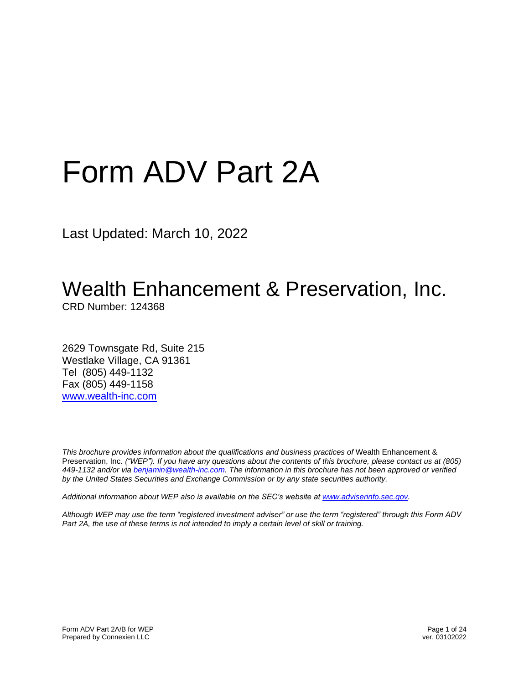# Form ADV Part 2A

Last Updated: March 10, 2022

# Wealth Enhancement & Preservation, Inc.

CRD Number: 124368

2629 Townsgate Rd, Suite 215 Westlake Village, CA 91361 Tel (805) 449-1132 Fax (805) 449-1158 [www.wealth-inc.com](http://www.wealth-inc.com/)

*This brochure provides information about the qualifications and business practices of* Wealth Enhancement & Preservation, Inc. *("WEP"). If you have any questions about the contents of this brochure, please contact us at (805) 449-1132 and/or vi[a benjamin@wealth-inc.com.](mailto:benjamin@wealth-inc.com) The information in this brochure has not been approved or verified by the United States Securities and Exchange Commission or by any state securities authority.*

*Additional information about WEP also is available on the SEC's website at [www.adviserinfo.sec.gov.](http://www.adviserinfo.sec.gov/)*

*Although WEP may use the term "registered investment adviser" or use the term "registered" through this Form ADV Part 2A, the use of these terms is not intended to imply a certain level of skill or training.*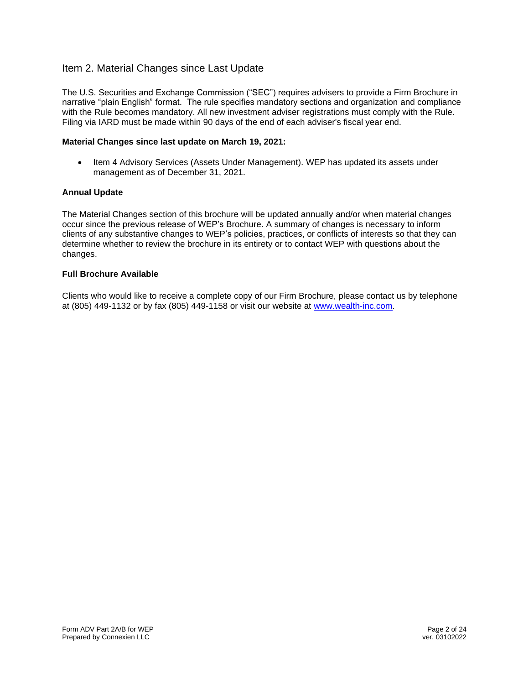# Item 2. Material Changes since Last Update

The U.S. Securities and Exchange Commission ("SEC") requires advisers to provide a Firm Brochure in narrative "plain English" format. The rule specifies mandatory sections and organization and compliance with the Rule becomes mandatory. All new investment adviser registrations must comply with the Rule. Filing via IARD must be made within 90 days of the end of each adviser's fiscal year end.

#### **Material Changes since last update on March 19, 2021:**

• Item 4 Advisory Services (Assets Under Management). WEP has updated its assets under management as of December 31, 2021.

#### **Annual Update**

The Material Changes section of this brochure will be updated annually and/or when material changes occur since the previous release of WEP's Brochure. A summary of changes is necessary to inform clients of any substantive changes to WEP's policies, practices, or conflicts of interests so that they can determine whether to review the brochure in its entirety or to contact WEP with questions about the changes.

#### **Full Brochure Available**

Clients who would like to receive a complete copy of our Firm Brochure, please contact us by telephone at (805) 449-1132 or by fax (805) 449-1158 or visit our website at [www.wealth-inc.com.](http://www.wealth-inc.com/)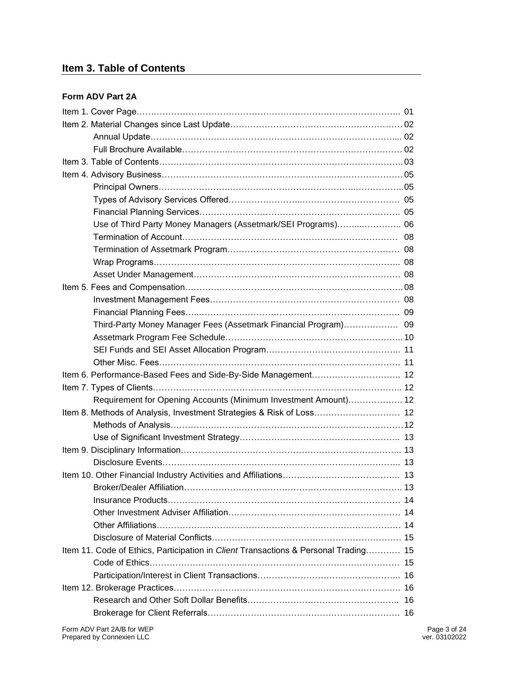# **Item 3. Table of Contents**

#### **Form ADV Part 2A**

| Use of Third Party Money Managers (Assetmark/SEI Programs) 06                       |                               |
|-------------------------------------------------------------------------------------|-------------------------------|
|                                                                                     |                               |
|                                                                                     |                               |
|                                                                                     |                               |
|                                                                                     |                               |
|                                                                                     |                               |
|                                                                                     |                               |
|                                                                                     |                               |
| Third-Party Money Manager Fees (Assetmark Financial Program) 09                     |                               |
|                                                                                     |                               |
|                                                                                     |                               |
|                                                                                     |                               |
|                                                                                     |                               |
|                                                                                     |                               |
| Requirement for Opening Accounts (Minimum Investment Amount) 12                     |                               |
| Item 8. Methods of Analysis, Investment Strategies & Risk of Loss 12                |                               |
|                                                                                     |                               |
|                                                                                     |                               |
|                                                                                     |                               |
|                                                                                     |                               |
|                                                                                     |                               |
|                                                                                     |                               |
|                                                                                     |                               |
|                                                                                     |                               |
|                                                                                     |                               |
|                                                                                     |                               |
| Item 11. Code of Ethics, Participation in Client Transactions & Personal Trading 15 |                               |
|                                                                                     |                               |
|                                                                                     |                               |
|                                                                                     |                               |
|                                                                                     |                               |
|                                                                                     |                               |
| Form ADV Part 2A/B for WEP<br>Prepared by Connexien LLC                             | Page 3 of 24<br>ver. 03102022 |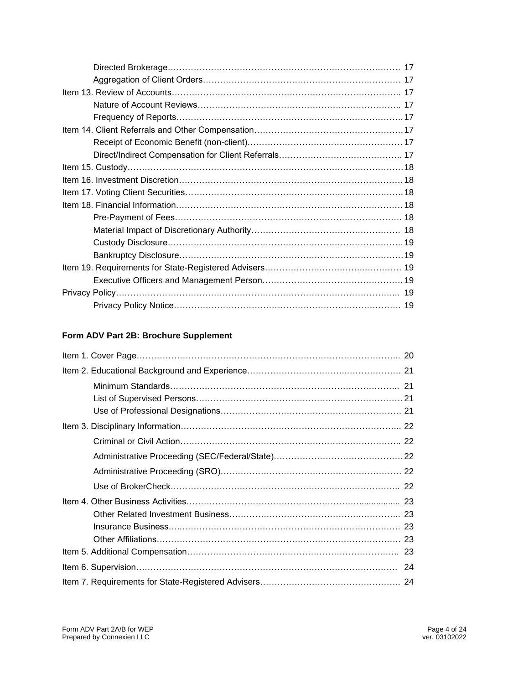# **Form ADV Part 2B: Brochure Supplement**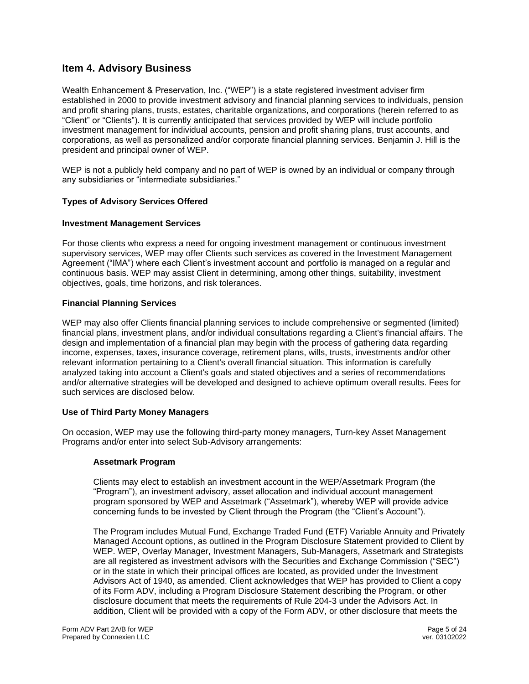# **Item 4. Advisory Business**

Wealth Enhancement & Preservation, Inc. ("WEP") is a state registered investment adviser firm established in 2000 to provide investment advisory and financial planning services to individuals, pension and profit sharing plans, trusts, estates, charitable organizations, and corporations (herein referred to as "Client" or "Clients"). It is currently anticipated that services provided by WEP will include portfolio investment management for individual accounts, pension and profit sharing plans, trust accounts, and corporations, as well as personalized and/or corporate financial planning services. Benjamin J. Hill is the president and principal owner of WEP.

WEP is not a publicly held company and no part of WEP is owned by an individual or company through any subsidiaries or "intermediate subsidiaries."

#### **Types of Advisory Services Offered**

#### **Investment Management Services**

For those clients who express a need for ongoing investment management or continuous investment supervisory services, WEP may offer Clients such services as covered in the Investment Management Agreement ("IMA") where each Client's investment account and portfolio is managed on a regular and continuous basis. WEP may assist Client in determining, among other things, suitability, investment objectives, goals, time horizons, and risk tolerances.

#### **Financial Planning Services**

WEP may also offer Clients financial planning services to include comprehensive or segmented (limited) financial plans, investment plans, and/or individual consultations regarding a Client's financial affairs. The design and implementation of a financial plan may begin with the process of gathering data regarding income, expenses, taxes, insurance coverage, retirement plans, wills, trusts, investments and/or other relevant information pertaining to a Client's overall financial situation. This information is carefully analyzed taking into account a Client's goals and stated objectives and a series of recommendations and/or alternative strategies will be developed and designed to achieve optimum overall results. Fees for such services are disclosed below.

#### **Use of Third Party Money Managers**

On occasion, WEP may use the following third-party money managers, Turn-key Asset Management Programs and/or enter into select Sub-Advisory arrangements:

#### **Assetmark Program**

Clients may elect to establish an investment account in the WEP/Assetmark Program (the "Program"), an investment advisory, asset allocation and individual account management program sponsored by WEP and Assetmark ("Assetmark"), whereby WEP will provide advice concerning funds to be invested by Client through the Program (the "Client's Account").

The Program includes Mutual Fund, Exchange Traded Fund (ETF) Variable Annuity and Privately Managed Account options, as outlined in the Program Disclosure Statement provided to Client by WEP. WEP, Overlay Manager, Investment Managers, Sub-Managers, Assetmark and Strategists are all registered as investment advisors with the Securities and Exchange Commission ("SEC") or in the state in which their principal offices are located, as provided under the Investment Advisors Act of 1940, as amended. Client acknowledges that WEP has provided to Client a copy of its Form ADV, including a Program Disclosure Statement describing the Program, or other disclosure document that meets the requirements of Rule 204-3 under the Advisors Act. In addition, Client will be provided with a copy of the Form ADV, or other disclosure that meets the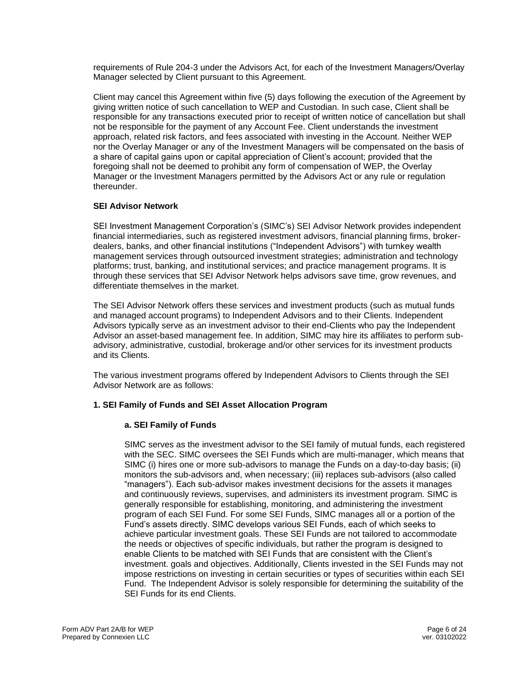requirements of Rule 204-3 under the Advisors Act, for each of the Investment Managers/Overlay Manager selected by Client pursuant to this Agreement.

Client may cancel this Agreement within five (5) days following the execution of the Agreement by giving written notice of such cancellation to WEP and Custodian. In such case, Client shall be responsible for any transactions executed prior to receipt of written notice of cancellation but shall not be responsible for the payment of any Account Fee. Client understands the investment approach, related risk factors, and fees associated with investing in the Account. Neither WEP nor the Overlay Manager or any of the Investment Managers will be compensated on the basis of a share of capital gains upon or capital appreciation of Client's account; provided that the foregoing shall not be deemed to prohibit any form of compensation of WEP, the Overlay Manager or the Investment Managers permitted by the Advisors Act or any rule or regulation thereunder.

#### **SEI Advisor Network**

SEI Investment Management Corporation's (SIMC's) SEI Advisor Network provides independent financial intermediaries, such as registered investment advisors, financial planning firms, brokerdealers, banks, and other financial institutions ("Independent Advisors") with turnkey wealth management services through outsourced investment strategies; administration and technology platforms; trust, banking, and institutional services; and practice management programs. It is through these services that SEI Advisor Network helps advisors save time, grow revenues, and differentiate themselves in the market.

The SEI Advisor Network offers these services and investment products (such as mutual funds and managed account programs) to Independent Advisors and to their Clients. Independent Advisors typically serve as an investment advisor to their end-Clients who pay the Independent Advisor an asset-based management fee. In addition, SIMC may hire its affiliates to perform subadvisory, administrative, custodial, brokerage and/or other services for its investment products and its Clients.

The various investment programs offered by Independent Advisors to Clients through the SEI Advisor Network are as follows:

#### **1. SEI Family of Funds and SEI Asset Allocation Program**

#### **a. SEI Family of Funds**

SIMC serves as the investment advisor to the SEI family of mutual funds, each registered with the SEC. SIMC oversees the SEI Funds which are multi-manager, which means that SIMC (i) hires one or more sub-advisors to manage the Funds on a day-to-day basis; (ii) monitors the sub-advisors and, when necessary; (iii) replaces sub-advisors (also called "managers"). Each sub-advisor makes investment decisions for the assets it manages and continuously reviews, supervises, and administers its investment program. SIMC is generally responsible for establishing, monitoring, and administering the investment program of each SEI Fund. For some SEI Funds, SIMC manages all or a portion of the Fund's assets directly. SIMC develops various SEI Funds, each of which seeks to achieve particular investment goals. These SEI Funds are not tailored to accommodate the needs or objectives of specific individuals, but rather the program is designed to enable Clients to be matched with SEI Funds that are consistent with the Client's investment. goals and objectives. Additionally, Clients invested in the SEI Funds may not impose restrictions on investing in certain securities or types of securities within each SEI Fund. The Independent Advisor is solely responsible for determining the suitability of the SEI Funds for its end Clients.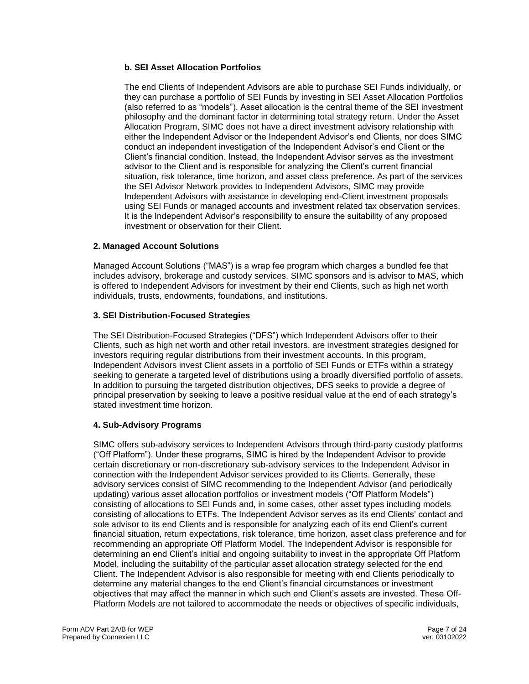#### **b. SEI Asset Allocation Portfolios**

The end Clients of Independent Advisors are able to purchase SEI Funds individually, or they can purchase a portfolio of SEI Funds by investing in SEI Asset Allocation Portfolios (also referred to as "models"). Asset allocation is the central theme of the SEI investment philosophy and the dominant factor in determining total strategy return. Under the Asset Allocation Program, SIMC does not have a direct investment advisory relationship with either the Independent Advisor or the Independent Advisor's end Clients, nor does SIMC conduct an independent investigation of the Independent Advisor's end Client or the Client's financial condition. Instead, the Independent Advisor serves as the investment advisor to the Client and is responsible for analyzing the Client's current financial situation, risk tolerance, time horizon, and asset class preference. As part of the services the SEI Advisor Network provides to Independent Advisors, SIMC may provide Independent Advisors with assistance in developing end-Client investment proposals using SEI Funds or managed accounts and investment related tax observation services. It is the Independent Advisor's responsibility to ensure the suitability of any proposed investment or observation for their Client.

#### **2. Managed Account Solutions**

Managed Account Solutions ("MAS") is a wrap fee program which charges a bundled fee that includes advisory, brokerage and custody services. SIMC sponsors and is advisor to MAS, which is offered to Independent Advisors for investment by their end Clients, such as high net worth individuals, trusts, endowments, foundations, and institutions.

#### **3. SEI Distribution-Focused Strategies**

The SEI Distribution-Focused Strategies ("DFS") which Independent Advisors offer to their Clients, such as high net worth and other retail investors, are investment strategies designed for investors requiring regular distributions from their investment accounts. In this program, Independent Advisors invest Client assets in a portfolio of SEI Funds or ETFs within a strategy seeking to generate a targeted level of distributions using a broadly diversified portfolio of assets. In addition to pursuing the targeted distribution objectives, DFS seeks to provide a degree of principal preservation by seeking to leave a positive residual value at the end of each strategy's stated investment time horizon.

#### **4. Sub-Advisory Programs**

SIMC offers sub-advisory services to Independent Advisors through third-party custody platforms ("Off Platform"). Under these programs, SIMC is hired by the Independent Advisor to provide certain discretionary or non-discretionary sub-advisory services to the Independent Advisor in connection with the Independent Advisor services provided to its Clients. Generally, these advisory services consist of SIMC recommending to the Independent Advisor (and periodically updating) various asset allocation portfolios or investment models ("Off Platform Models") consisting of allocations to SEI Funds and, in some cases, other asset types including models consisting of allocations to ETFs. The Independent Advisor serves as its end Clients' contact and sole advisor to its end Clients and is responsible for analyzing each of its end Client's current financial situation, return expectations, risk tolerance, time horizon, asset class preference and for recommending an appropriate Off Platform Model. The Independent Advisor is responsible for determining an end Client's initial and ongoing suitability to invest in the appropriate Off Platform Model, including the suitability of the particular asset allocation strategy selected for the end Client. The Independent Advisor is also responsible for meeting with end Clients periodically to determine any material changes to the end Client's financial circumstances or investment objectives that may affect the manner in which such end Client's assets are invested. These Off-Platform Models are not tailored to accommodate the needs or objectives of specific individuals,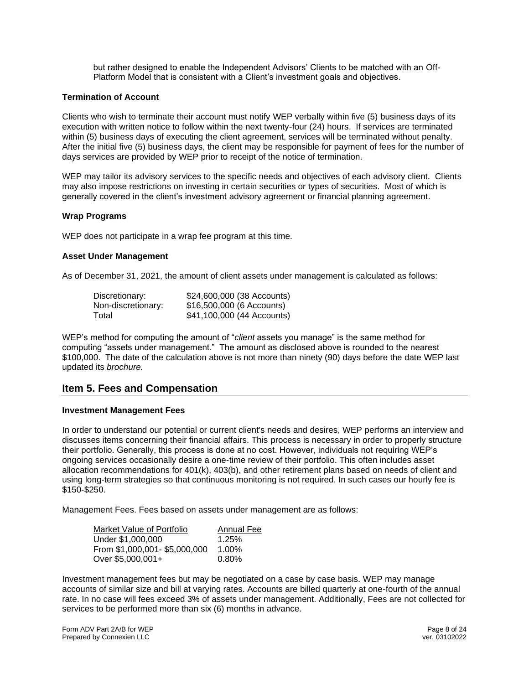but rather designed to enable the Independent Advisors' Clients to be matched with an Off-Platform Model that is consistent with a Client's investment goals and objectives.

#### **Termination of Account**

Clients who wish to terminate their account must notify WEP verbally within five (5) business days of its execution with written notice to follow within the next twenty-four (24) hours. If services are terminated within (5) business days of executing the client agreement, services will be terminated without penalty. After the initial five (5) business days, the client may be responsible for payment of fees for the number of days services are provided by WEP prior to receipt of the notice of termination.

WEP may tailor its advisory services to the specific needs and objectives of each advisory client. Clients may also impose restrictions on investing in certain securities or types of securities. Most of which is generally covered in the client's investment advisory agreement or financial planning agreement.

#### **Wrap Programs**

WEP does not participate in a wrap fee program at this time.

#### **Asset Under Management**

As of December 31, 2021, the amount of client assets under management is calculated as follows:

| Discretionary:     | \$24,600,000 (38 Accounts) |
|--------------------|----------------------------|
| Non-discretionary: | \$16,500,000 (6 Accounts)  |
| Total              | \$41,100,000 (44 Accounts) |

WEP's method for computing the amount of "*client* assets you manage" is the same method for computing "assets under management." The amount as disclosed above is rounded to the nearest \$100,000. The date of the calculation above is not more than ninety (90) days before the date WEP last updated its *brochure.*

# **Item 5. Fees and Compensation**

#### **Investment Management Fees**

In order to understand our potential or current client's needs and desires, WEP performs an interview and discusses items concerning their financial affairs. This process is necessary in order to properly structure their portfolio. Generally, this process is done at no cost. However, individuals not requiring WEP's ongoing services occasionally desire a one-time review of their portfolio. This often includes asset allocation recommendations for 401(k), 403(b), and other retirement plans based on needs of client and using long-term strategies so that continuous monitoring is not required. In such cases our hourly fee is \$150-\$250.

Management Fees. Fees based on assets under management are as follows:

| Market Value of Portfolio    | <b>Annual Fee</b> |
|------------------------------|-------------------|
| Under \$1,000,000            | 1.25%             |
| From \$1,000,001-\$5,000,000 | 1.00%             |
| Over \$5,000,001+            | 0.80%             |

Investment management fees but may be negotiated on a case by case basis. WEP may manage accounts of similar size and bill at varying rates. Accounts are billed quarterly at one-fourth of the annual rate. In no case will fees exceed 3% of assets under management. Additionally, Fees are not collected for services to be performed more than six (6) months in advance.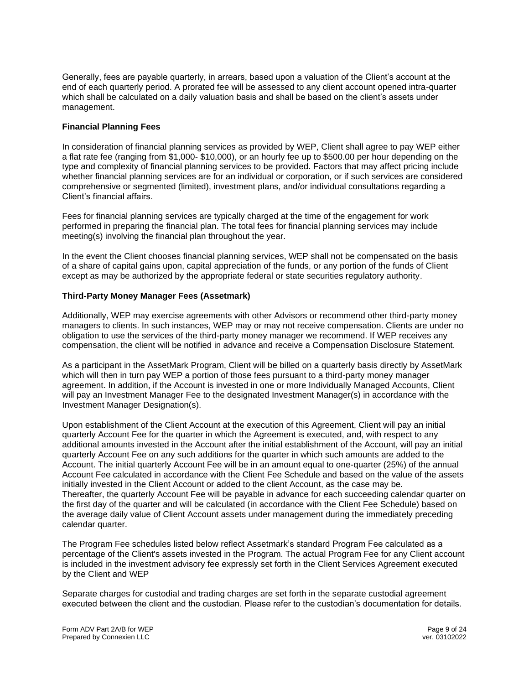Generally, fees are payable quarterly, in arrears, based upon a valuation of the Client's account at the end of each quarterly period. A prorated fee will be assessed to any client account opened intra-quarter which shall be calculated on a daily valuation basis and shall be based on the client's assets under management.

#### **Financial Planning Fees**

In consideration of financial planning services as provided by WEP, Client shall agree to pay WEP either a flat rate fee (ranging from \$1,000- \$10,000), or an hourly fee up to \$500.00 per hour depending on the type and complexity of financial planning services to be provided. Factors that may affect pricing include whether financial planning services are for an individual or corporation, or if such services are considered comprehensive or segmented (limited), investment plans, and/or individual consultations regarding a Client's financial affairs.

Fees for financial planning services are typically charged at the time of the engagement for work performed in preparing the financial plan. The total fees for financial planning services may include meeting(s) involving the financial plan throughout the year.

In the event the Client chooses financial planning services, WEP shall not be compensated on the basis of a share of capital gains upon, capital appreciation of the funds, or any portion of the funds of Client except as may be authorized by the appropriate federal or state securities regulatory authority.

#### **Third-Party Money Manager Fees (Assetmark)**

Additionally, WEP may exercise agreements with other Advisors or recommend other third-party money managers to clients. In such instances, WEP may or may not receive compensation. Clients are under no obligation to use the services of the third-party money manager we recommend. If WEP receives any compensation, the client will be notified in advance and receive a Compensation Disclosure Statement.

As a participant in the AssetMark Program, Client will be billed on a quarterly basis directly by AssetMark which will then in turn pay WEP a portion of those fees pursuant to a third-party money manager agreement. In addition, if the Account is invested in one or more Individually Managed Accounts, Client will pay an Investment Manager Fee to the designated Investment Manager(s) in accordance with the Investment Manager Designation(s).

Upon establishment of the Client Account at the execution of this Agreement, Client will pay an initial quarterly Account Fee for the quarter in which the Agreement is executed, and, with respect to any additional amounts invested in the Account after the initial establishment of the Account, will pay an initial quarterly Account Fee on any such additions for the quarter in which such amounts are added to the Account. The initial quarterly Account Fee will be in an amount equal to one-quarter (25%) of the annual Account Fee calculated in accordance with the Client Fee Schedule and based on the value of the assets initially invested in the Client Account or added to the client Account, as the case may be. Thereafter, the quarterly Account Fee will be payable in advance for each succeeding calendar quarter on the first day of the quarter and will be calculated (in accordance with the Client Fee Schedule) based on the average daily value of Client Account assets under management during the immediately preceding calendar quarter.

The Program Fee schedules listed below reflect Assetmark's standard Program Fee calculated as a percentage of the Client's assets invested in the Program. The actual Program Fee for any Client account is included in the investment advisory fee expressly set forth in the Client Services Agreement executed by the Client and WEP

Separate charges for custodial and trading charges are set forth in the separate custodial agreement executed between the client and the custodian. Please refer to the custodian's documentation for details.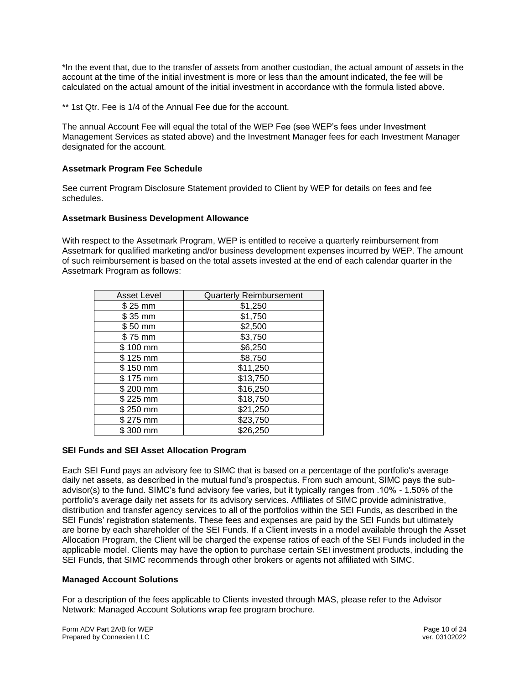\*In the event that, due to the transfer of assets from another custodian, the actual amount of assets in the account at the time of the initial investment is more or less than the amount indicated, the fee will be calculated on the actual amount of the initial investment in accordance with the formula listed above.

\*\* 1st Qtr. Fee is 1/4 of the Annual Fee due for the account.

The annual Account Fee will equal the total of the WEP Fee (see WEP's fees under Investment Management Services as stated above) and the Investment Manager fees for each Investment Manager designated for the account.

#### **Assetmark Program Fee Schedule**

See current Program Disclosure Statement provided to Client by WEP for details on fees and fee schedules.

#### **Assetmark Business Development Allowance**

With respect to the Assetmark Program, WEP is entitled to receive a quarterly reimbursement from Assetmark for qualified marketing and/or business development expenses incurred by WEP. The amount of such reimbursement is based on the total assets invested at the end of each calendar quarter in the Assetmark Program as follows:

| <b>Asset Level</b> | <b>Quarterly Reimbursement</b> |
|--------------------|--------------------------------|
| \$25 mm            | \$1,250                        |
| $$35$ mm           | \$1,750                        |
| \$50 mm            | \$2,500                        |
| \$75 mm            | \$3,750                        |
| \$100 mm           | \$6,250                        |
| \$125 mm           | \$8,750                        |
| \$150 mm           | \$11,250                       |
| \$175 mm           | \$13,750                       |
| \$200 mm           | \$16,250                       |
| \$225 mm           | \$18,750                       |
| \$250 mm           | \$21,250                       |
| \$275 mm           | \$23,750                       |
| \$300 mm           | \$26,250                       |

#### **SEI Funds and SEI Asset Allocation Program**

Each SEI Fund pays an advisory fee to SIMC that is based on a percentage of the portfolio's average daily net assets, as described in the mutual fund's prospectus. From such amount, SIMC pays the subadvisor(s) to the fund. SIMC's fund advisory fee varies, but it typically ranges from .10% - 1.50% of the portfolio's average daily net assets for its advisory services. Affiliates of SIMC provide administrative, distribution and transfer agency services to all of the portfolios within the SEI Funds, as described in the SEI Funds' registration statements. These fees and expenses are paid by the SEI Funds but ultimately are borne by each shareholder of the SEI Funds. If a Client invests in a model available through the Asset Allocation Program, the Client will be charged the expense ratios of each of the SEI Funds included in the applicable model. Clients may have the option to purchase certain SEI investment products, including the SEI Funds, that SIMC recommends through other brokers or agents not affiliated with SIMC.

#### **Managed Account Solutions**

For a description of the fees applicable to Clients invested through MAS, please refer to the Advisor Network: Managed Account Solutions wrap fee program brochure.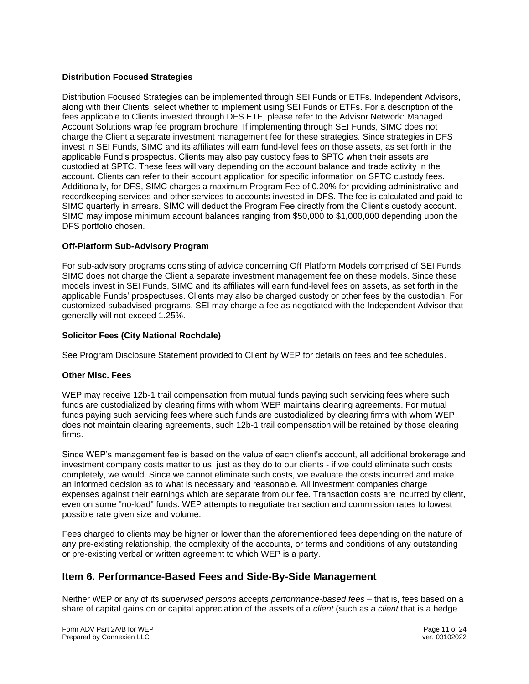#### **Distribution Focused Strategies**

Distribution Focused Strategies can be implemented through SEI Funds or ETFs. Independent Advisors, along with their Clients, select whether to implement using SEI Funds or ETFs. For a description of the fees applicable to Clients invested through DFS ETF, please refer to the Advisor Network: Managed Account Solutions wrap fee program brochure. If implementing through SEI Funds, SIMC does not charge the Client a separate investment management fee for these strategies. Since strategies in DFS invest in SEI Funds, SIMC and its affiliates will earn fund-level fees on those assets, as set forth in the applicable Fund's prospectus. Clients may also pay custody fees to SPTC when their assets are custodied at SPTC. These fees will vary depending on the account balance and trade activity in the account. Clients can refer to their account application for specific information on SPTC custody fees. Additionally, for DFS, SIMC charges a maximum Program Fee of 0.20% for providing administrative and recordkeeping services and other services to accounts invested in DFS. The fee is calculated and paid to SIMC quarterly in arrears. SIMC will deduct the Program Fee directly from the Client's custody account. SIMC may impose minimum account balances ranging from \$50,000 to \$1,000,000 depending upon the DFS portfolio chosen.

#### **Off-Platform Sub-Advisory Program**

For sub-advisory programs consisting of advice concerning Off Platform Models comprised of SEI Funds, SIMC does not charge the Client a separate investment management fee on these models. Since these models invest in SEI Funds, SIMC and its affiliates will earn fund-level fees on assets, as set forth in the applicable Funds' prospectuses. Clients may also be charged custody or other fees by the custodian. For customized subadvised programs, SEI may charge a fee as negotiated with the Independent Advisor that generally will not exceed 1.25%.

#### **Solicitor Fees (City National Rochdale)**

See Program Disclosure Statement provided to Client by WEP for details on fees and fee schedules.

#### **Other Misc. Fees**

WEP may receive 12b-1 trail compensation from mutual funds paying such servicing fees where such funds are custodialized by clearing firms with whom WEP maintains clearing agreements. For mutual funds paying such servicing fees where such funds are custodialized by clearing firms with whom WEP does not maintain clearing agreements, such 12b-1 trail compensation will be retained by those clearing firms.

Since WEP's management fee is based on the value of each client's account, all additional brokerage and investment company costs matter to us, just as they do to our clients - if we could eliminate such costs completely, we would. Since we cannot eliminate such costs, we evaluate the costs incurred and make an informed decision as to what is necessary and reasonable. All investment companies charge expenses against their earnings which are separate from our fee. Transaction costs are incurred by client, even on some "no-load" funds. WEP attempts to negotiate transaction and commission rates to lowest possible rate given size and volume.

Fees charged to clients may be higher or lower than the aforementioned fees depending on the nature of any pre-existing relationship, the complexity of the accounts, or terms and conditions of any outstanding or pre-existing verbal or written agreement to which WEP is a party.

# **Item 6. Performance-Based Fees and Side-By-Side Management**

Neither WEP or any of its *supervised persons* accepts *performance-based fees* – that is, fees based on a share of capital gains on or capital appreciation of the assets of a *client* (such as a *client* that is a hedge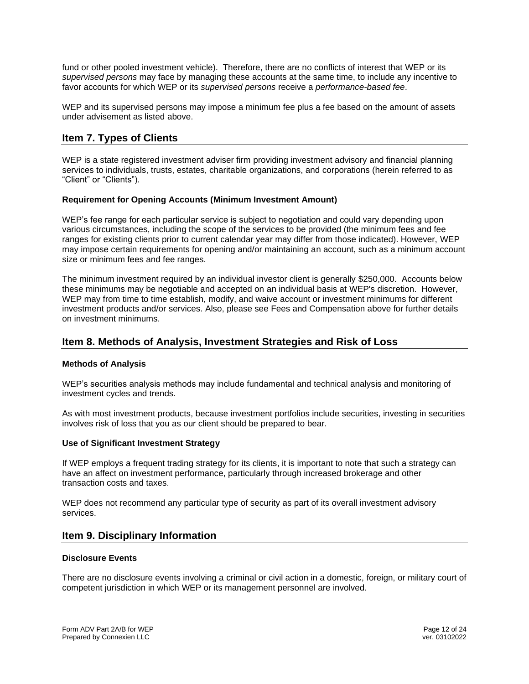fund or other pooled investment vehicle). Therefore, there are no conflicts of interest that WEP or its *supervised persons* may face by managing these accounts at the same time, to include any incentive to favor accounts for which WEP or its *supervised persons* receive a *performance-based fee*.

WEP and its supervised persons may impose a minimum fee plus a fee based on the amount of assets under advisement as listed above.

# **Item 7. Types of Clients**

WEP is a state registered investment adviser firm providing investment advisory and financial planning services to individuals, trusts, estates, charitable organizations, and corporations (herein referred to as "Client" or "Clients").

#### **Requirement for Opening Accounts (Minimum Investment Amount)**

WEP's fee range for each particular service is subject to negotiation and could vary depending upon various circumstances, including the scope of the services to be provided (the minimum fees and fee ranges for existing clients prior to current calendar year may differ from those indicated). However, WEP may impose certain requirements for opening and/or maintaining an account, such as a minimum account size or minimum fees and fee ranges.

The minimum investment required by an individual investor client is generally \$250,000. Accounts below these minimums may be negotiable and accepted on an individual basis at WEP's discretion. However, WEP may from time to time establish, modify, and waive account or investment minimums for different investment products and/or services. Also, please see Fees and Compensation above for further details on investment minimums.

## **Item 8. Methods of Analysis, Investment Strategies and Risk of Loss**

#### **Methods of Analysis**

WEP's securities analysis methods may include fundamental and technical analysis and monitoring of investment cycles and trends.

As with most investment products, because investment portfolios include securities, investing in securities involves risk of loss that you as our client should be prepared to bear.

#### **Use of Significant Investment Strategy**

If WEP employs a frequent trading strategy for its clients, it is important to note that such a strategy can have an affect on investment performance, particularly through increased brokerage and other transaction costs and taxes.

WEP does not recommend any particular type of security as part of its overall investment advisory services.

#### **Item 9. Disciplinary Information**

#### **Disclosure Events**

There are no disclosure events involving a criminal or civil action in a domestic, foreign, or military court of competent jurisdiction in which WEP or its management personnel are involved.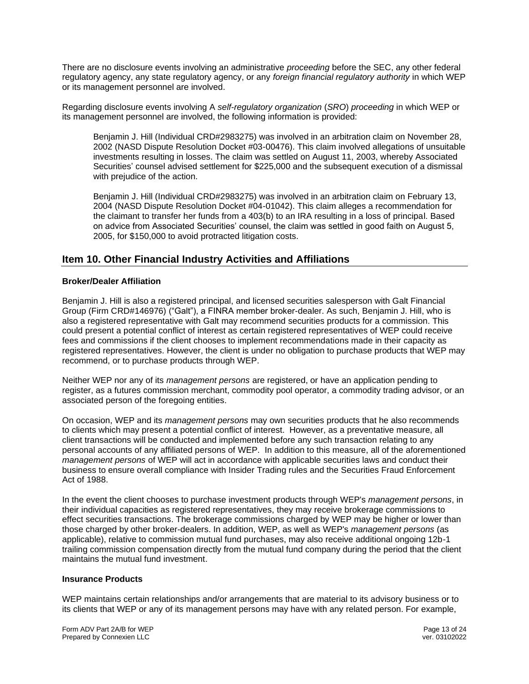There are no disclosure events involving an administrative *proceeding* before the SEC, any other federal regulatory agency, any state regulatory agency, or any *foreign financial regulatory authority* in which WEP or its management personnel are involved.

Regarding disclosure events involving A *self-regulatory organization* (*SRO*) *proceeding* in which WEP or its management personnel are involved, the following information is provided:

Benjamin J. Hill (Individual CRD#2983275) was involved in an arbitration claim on November 28, 2002 (NASD Dispute Resolution Docket #03-00476). This claim involved allegations of unsuitable investments resulting in losses. The claim was settled on August 11, 2003, whereby Associated Securities' counsel advised settlement for \$225,000 and the subsequent execution of a dismissal with prejudice of the action.

Benjamin J. Hill (Individual CRD#2983275) was involved in an arbitration claim on February 13, 2004 (NASD Dispute Resolution Docket #04-01042). This claim alleges a recommendation for the claimant to transfer her funds from a 403(b) to an IRA resulting in a loss of principal. Based on advice from Associated Securities' counsel, the claim was settled in good faith on August 5, 2005, for \$150,000 to avoid protracted litigation costs.

# **Item 10. Other Financial Industry Activities and Affiliations**

#### **Broker/Dealer Affiliation**

Benjamin J. Hill is also a registered principal, and licensed securities salesperson with Galt Financial Group (Firm CRD#146976) ("Galt"), a FINRA member broker-dealer. As such, Benjamin J. Hill, who is also a registered representative with Galt may recommend securities products for a commission. This could present a potential conflict of interest as certain registered representatives of WEP could receive fees and commissions if the client chooses to implement recommendations made in their capacity as registered representatives. However, the client is under no obligation to purchase products that WEP may recommend, or to purchase products through WEP.

Neither WEP nor any of its *management persons* are registered, or have an application pending to register, as a futures commission merchant, commodity pool operator, a commodity trading advisor, or an associated person of the foregoing entities.

On occasion, WEP and its *management persons* may own securities products that he also recommends to clients which may present a potential conflict of interest. However, as a preventative measure, all client transactions will be conducted and implemented before any such transaction relating to any personal accounts of any affiliated persons of WEP. In addition to this measure, all of the aforementioned *management persons* of WEP will act in accordance with applicable securities laws and conduct their business to ensure overall compliance with Insider Trading rules and the Securities Fraud Enforcement Act of 1988.

In the event the client chooses to purchase investment products through WEP's *management persons*, in their individual capacities as registered representatives, they may receive brokerage commissions to effect securities transactions. The brokerage commissions charged by WEP may be higher or lower than those charged by other broker-dealers. In addition, WEP, as well as WEP's *management persons* (as applicable), relative to commission mutual fund purchases, may also receive additional ongoing 12b-1 trailing commission compensation directly from the mutual fund company during the period that the client maintains the mutual fund investment.

#### **Insurance Products**

WEP maintains certain relationships and/or arrangements that are material to its advisory business or to its clients that WEP or any of its management persons may have with any related person. For example,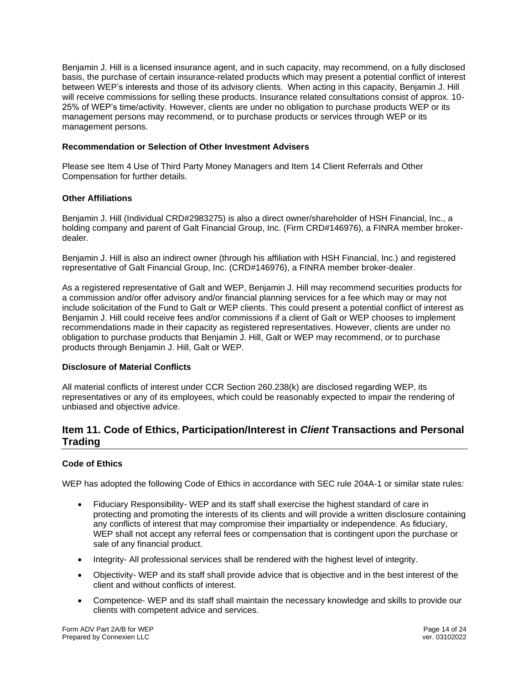Benjamin J. Hill is a licensed insurance agent, and in such capacity, may recommend, on a fully disclosed basis, the purchase of certain insurance-related products which may present a potential conflict of interest between WEP's interests and those of its advisory clients. When acting in this capacity, Benjamin J. Hill will receive commissions for selling these products. Insurance related consultations consist of approx. 10- 25% of WEP's time/activity. However, clients are under no obligation to purchase products WEP or its management persons may recommend, or to purchase products or services through WEP or its management persons.

#### **Recommendation or Selection of Other Investment Advisers**

Please see Item 4 Use of Third Party Money Managers and Item 14 Client Referrals and Other Compensation for further details.

#### **Other Affiliations**

Benjamin J. Hill (Individual CRD#2983275) is also a direct owner/shareholder of HSH Financial, Inc., a holding company and parent of Galt Financial Group, Inc. (Firm CRD#146976), a FINRA member brokerdealer.

Benjamin J. Hill is also an indirect owner (through his affiliation with HSH Financial, Inc.) and registered representative of Galt Financial Group, Inc. (CRD#146976), a FINRA member broker-dealer.

As a registered representative of Galt and WEP, Benjamin J. Hill may recommend securities products for a commission and/or offer advisory and/or financial planning services for a fee which may or may not include solicitation of the Fund to Galt or WEP clients. This could present a potential conflict of interest as Benjamin J. Hill could receive fees and/or commissions if a client of Galt or WEP chooses to implement recommendations made in their capacity as registered representatives. However, clients are under no obligation to purchase products that Benjamin J. Hill, Galt or WEP may recommend, or to purchase products through Benjamin J. Hill, Galt or WEP.

#### **Disclosure of Material Conflicts**

All material conflicts of interest under CCR Section 260.238(k) are disclosed regarding WEP, its representatives or any of its employees, which could be reasonably expected to impair the rendering of unbiased and objective advice.

# **Item 11. Code of Ethics, Participation/Interest in** *Client* **Transactions and Personal Trading**

#### **Code of Ethics**

WEP has adopted the following Code of Ethics in accordance with SEC rule 204A-1 or similar state rules:

- Fiduciary Responsibility- WEP and its staff shall exercise the highest standard of care in protecting and promoting the interests of its clients and will provide a written disclosure containing any conflicts of interest that may compromise their impartiality or independence. As fiduciary, WEP shall not accept any referral fees or compensation that is contingent upon the purchase or sale of any financial product.
- Integrity- All professional services shall be rendered with the highest level of integrity.
- Objectivity- WEP and its staff shall provide advice that is objective and in the best interest of the client and without conflicts of interest.
- Competence- WEP and its staff shall maintain the necessary knowledge and skills to provide our clients with competent advice and services.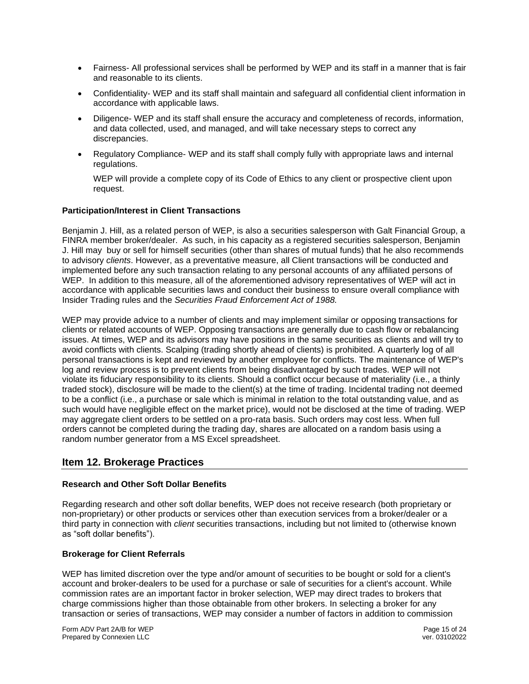- Fairness- All professional services shall be performed by WEP and its staff in a manner that is fair and reasonable to its clients.
- Confidentiality- WEP and its staff shall maintain and safeguard all confidential client information in accordance with applicable laws.
- Diligence- WEP and its staff shall ensure the accuracy and completeness of records, information, and data collected, used, and managed, and will take necessary steps to correct any discrepancies.
- Regulatory Compliance- WEP and its staff shall comply fully with appropriate laws and internal regulations.

WEP will provide a complete copy of its Code of Ethics to any client or prospective client upon request.

#### **Participation/Interest in Client Transactions**

Benjamin J. Hill, as a related person of WEP, is also a securities salesperson with Galt Financial Group, a FINRA member broker/dealer. As such, in his capacity as a registered securities salesperson, Benjamin J. Hill may buy or sell for himself securities (other than shares of mutual funds) that he also recommends to advisory *clients*. However, as a preventative measure, all Client transactions will be conducted and implemented before any such transaction relating to any personal accounts of any affiliated persons of WEP. In addition to this measure, all of the aforementioned advisory representatives of WEP will act in accordance with applicable securities laws and conduct their business to ensure overall compliance with Insider Trading rules and the *Securities Fraud Enforcement Act of 1988.*

WEP may provide advice to a number of clients and may implement similar or opposing transactions for clients or related accounts of WEP. Opposing transactions are generally due to cash flow or rebalancing issues. At times, WEP and its advisors may have positions in the same securities as clients and will try to avoid conflicts with clients. Scalping (trading shortly ahead of clients) is prohibited. A quarterly log of all personal transactions is kept and reviewed by another employee for conflicts. The maintenance of WEP's log and review process is to prevent clients from being disadvantaged by such trades. WEP will not violate its fiduciary responsibility to its clients. Should a conflict occur because of materiality (i.e., a thinly traded stock), disclosure will be made to the client(s) at the time of trading. Incidental trading not deemed to be a conflict (i.e., a purchase or sale which is minimal in relation to the total outstanding value, and as such would have negligible effect on the market price), would not be disclosed at the time of trading. WEP may aggregate client orders to be settled on a pro-rata basis. Such orders may cost less. When full orders cannot be completed during the trading day, shares are allocated on a random basis using a random number generator from a MS Excel spreadsheet.

# **Item 12. Brokerage Practices**

#### **Research and Other Soft Dollar Benefits**

Regarding research and other soft dollar benefits, WEP does not receive research (both proprietary or non-proprietary) or other products or services other than execution services from a broker/dealer or a third party in connection with *client* securities transactions, including but not limited to (otherwise known as "soft dollar benefits").

#### **Brokerage for Client Referrals**

WEP has limited discretion over the type and/or amount of securities to be bought or sold for a client's account and broker-dealers to be used for a purchase or sale of securities for a client's account. While commission rates are an important factor in broker selection, WEP may direct trades to brokers that charge commissions higher than those obtainable from other brokers. In selecting a broker for any transaction or series of transactions, WEP may consider a number of factors in addition to commission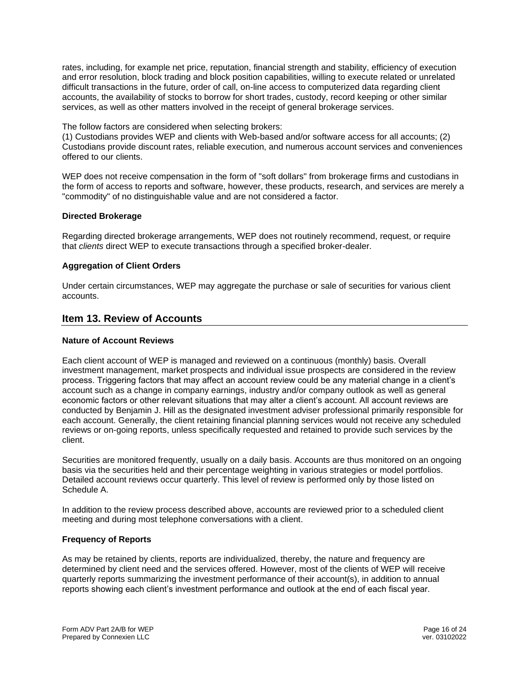rates, including, for example net price, reputation, financial strength and stability, efficiency of execution and error resolution, block trading and block position capabilities, willing to execute related or unrelated difficult transactions in the future, order of call, on-line access to computerized data regarding client accounts, the availability of stocks to borrow for short trades, custody, record keeping or other similar services, as well as other matters involved in the receipt of general brokerage services.

#### The follow factors are considered when selecting brokers:

(1) Custodians provides WEP and clients with Web-based and/or software access for all accounts; (2) Custodians provide discount rates, reliable execution, and numerous account services and conveniences offered to our clients.

WEP does not receive compensation in the form of "soft dollars" from brokerage firms and custodians in the form of access to reports and software, however, these products, research, and services are merely a "commodity" of no distinguishable value and are not considered a factor.

#### **Directed Brokerage**

Regarding directed brokerage arrangements, WEP does not routinely recommend, request, or require that *clients* direct WEP to execute transactions through a specified broker-dealer.

#### **Aggregation of Client Orders**

Under certain circumstances, WEP may aggregate the purchase or sale of securities for various client accounts.

#### **Item 13. Review of Accounts**

#### **Nature of Account Reviews**

Each client account of WEP is managed and reviewed on a continuous (monthly) basis. Overall investment management, market prospects and individual issue prospects are considered in the review process. Triggering factors that may affect an account review could be any material change in a client's account such as a change in company earnings, industry and/or company outlook as well as general economic factors or other relevant situations that may alter a client's account. All account reviews are conducted by Benjamin J. Hill as the designated investment adviser professional primarily responsible for each account. Generally, the client retaining financial planning services would not receive any scheduled reviews or on-going reports, unless specifically requested and retained to provide such services by the client.

Securities are monitored frequently, usually on a daily basis. Accounts are thus monitored on an ongoing basis via the securities held and their percentage weighting in various strategies or model portfolios. Detailed account reviews occur quarterly. This level of review is performed only by those listed on Schedule A.

In addition to the review process described above, accounts are reviewed prior to a scheduled client meeting and during most telephone conversations with a client.

#### **Frequency of Reports**

As may be retained by clients, reports are individualized, thereby, the nature and frequency are determined by client need and the services offered. However, most of the clients of WEP will receive quarterly reports summarizing the investment performance of their account(s), in addition to annual reports showing each client's investment performance and outlook at the end of each fiscal year.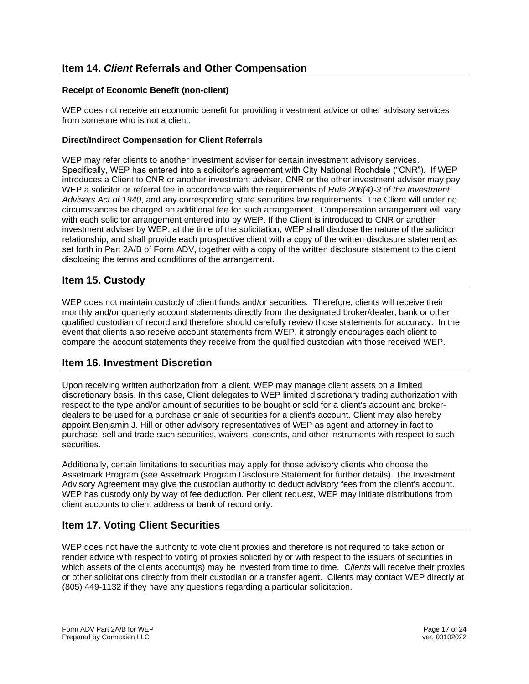# **Item 14.** *Client* **Referrals and Other Compensation**

#### **Receipt of Economic Benefit (non-client)**

WEP does not receive an economic benefit for providing investment advice or other advisory services from someone who is not a client*.*

#### **Direct/Indirect Compensation for Client Referrals**

WEP may refer clients to another investment adviser for certain investment advisory services. Specifically, WEP has entered into a solicitor's agreement with City National Rochdale ("CNR"). If WEP introduces a Client to CNR or another investment adviser, CNR or the other investment adviser may pay WEP a solicitor or referral fee in accordance with the requirements of *Rule 206(4)-3 of the Investment Advisers Act of 1940*, and any corresponding state securities law requirements. The Client will under no circumstances be charged an additional fee for such arrangement. Compensation arrangement will vary with each solicitor arrangement entered into by WEP. If the Client is introduced to CNR or another investment adviser by WEP, at the time of the solicitation, WEP shall disclose the nature of the solicitor relationship, and shall provide each prospective client with a copy of the written disclosure statement as set forth in Part 2A/B of Form ADV, together with a copy of the written disclosure statement to the client disclosing the terms and conditions of the arrangement.

# **Item 15. Custody**

WEP does not maintain custody of client funds and/or securities. Therefore, clients will receive their monthly and/or quarterly account statements directly from the designated broker/dealer, bank or other qualified custodian of record and therefore should carefully review those statements for accuracy. In the event that clients also receive account statements from WEP, it strongly encourages each client to compare the account statements they receive from the qualified custodian with those received WEP.

#### **Item 16. Investment Discretion**

Upon receiving written authorization from a client, WEP may manage client assets on a limited discretionary basis. In this case, Client delegates to WEP limited discretionary trading authorization with respect to the type and/or amount of securities to be bought or sold for a client's account and brokerdealers to be used for a purchase or sale of securities for a client's account. Client may also hereby appoint Benjamin J. Hill or other advisory representatives of WEP as agent and attorney in fact to purchase, sell and trade such securities, waivers, consents, and other instruments with respect to such securities.

Additionally, certain limitations to securities may apply for those advisory clients who choose the Assetmark Program (see Assetmark Program Disclosure Statement for further details). The Investment Advisory Agreement may give the custodian authority to deduct advisory fees from the client's account. WEP has custody only by way of fee deduction. Per client request, WEP may initiate distributions from client accounts to client address or bank of record only.

# **Item 17. Voting Client Securities**

WEP does not have the authority to vote client proxies and therefore is not required to take action or render advice with respect to voting of proxies solicited by or with respect to the issuers of securities in which assets of the clients account(s) may be invested from time to time. C*lients* will receive their proxies or other solicitations directly from their custodian or a transfer agent. Clients may contact WEP directly at (805) 449-1132 if they have any questions regarding a particular solicitation.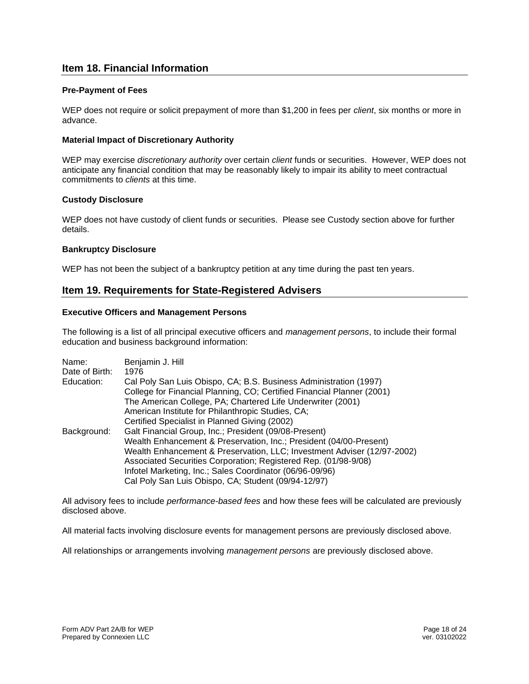# **Item 18. Financial Information**

#### **Pre-Payment of Fees**

WEP does not require or solicit prepayment of more than \$1,200 in fees per *client*, six months or more in advance.

#### **Material Impact of Discretionary Authority**

WEP may exercise *discretionary authority* over certain *client* funds or securities. However, WEP does not anticipate any financial condition that may be reasonably likely to impair its ability to meet contractual commitments to *clients* at this time.

#### **Custody Disclosure**

WEP does not have custody of client funds or securities. Please see Custody section above for further details.

#### **Bankruptcy Disclosure**

WEP has not been the subject of a bankruptcy petition at any time during the past ten years.

## **Item 19. Requirements for State-Registered Advisers**

#### **Executive Officers and Management Persons**

The following is a list of all principal executive officers and *management persons*, to include their formal education and business background information:

| Name:<br>Date of Birth: | Benjamin J. Hill<br>1976                                                |
|-------------------------|-------------------------------------------------------------------------|
| Education:              | Cal Poly San Luis Obispo, CA; B.S. Business Administration (1997)       |
|                         | College for Financial Planning, CO; Certified Financial Planner (2001)  |
|                         | The American College, PA; Chartered Life Underwriter (2001)             |
|                         | American Institute for Philanthropic Studies, CA;                       |
|                         | Certified Specialist in Planned Giving (2002)                           |
| Background:             | Galt Financial Group, Inc.; President (09/08-Present)                   |
|                         | Wealth Enhancement & Preservation, Inc.; President (04/00-Present)      |
|                         | Wealth Enhancement & Preservation, LLC; Investment Adviser (12/97-2002) |
|                         | Associated Securities Corporation; Registered Rep. (01/98-9/08)         |
|                         | Infotel Marketing, Inc.; Sales Coordinator (06/96-09/96)                |
|                         | Cal Poly San Luis Obispo, CA; Student (09/94-12/97)                     |

All advisory fees to include *performance-based fees* and how these fees will be calculated are previously disclosed above.

All material facts involving disclosure events for management persons are previously disclosed above.

All relationships or arrangements involving *management persons* are previously disclosed above.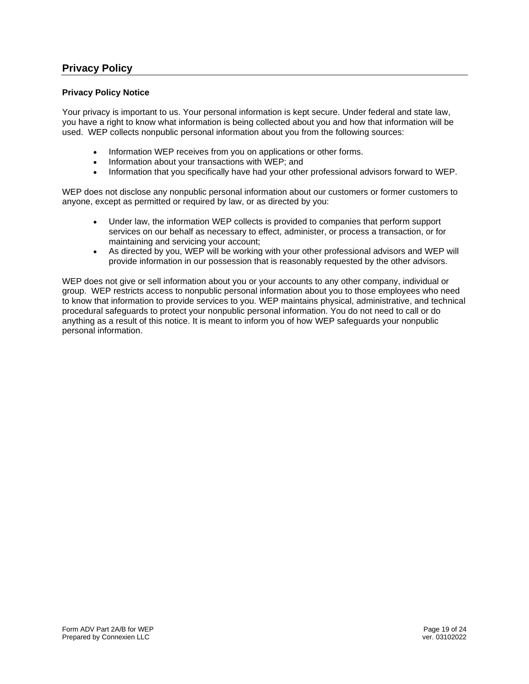# **Privacy Policy**

#### **Privacy Policy Notice**

Your privacy is important to us. Your personal information is kept secure. Under federal and state law, you have a right to know what information is being collected about you and how that information will be used. WEP collects nonpublic personal information about you from the following sources:

- Information WEP receives from you on applications or other forms.
- Information about your transactions with WEP; and
- Information that you specifically have had your other professional advisors forward to WEP.

WEP does not disclose any nonpublic personal information about our customers or former customers to anyone, except as permitted or required by law, or as directed by you:

- Under law, the information WEP collects is provided to companies that perform support services on our behalf as necessary to effect, administer, or process a transaction, or for maintaining and servicing your account;
- As directed by you, WEP will be working with your other professional advisors and WEP will provide information in our possession that is reasonably requested by the other advisors.

WEP does not give or sell information about you or your accounts to any other company, individual or group. WEP restricts access to nonpublic personal information about you to those employees who need to know that information to provide services to you. WEP maintains physical, administrative, and technical procedural safeguards to protect your nonpublic personal information. You do not need to call or do anything as a result of this notice. It is meant to inform you of how WEP safeguards your nonpublic personal information.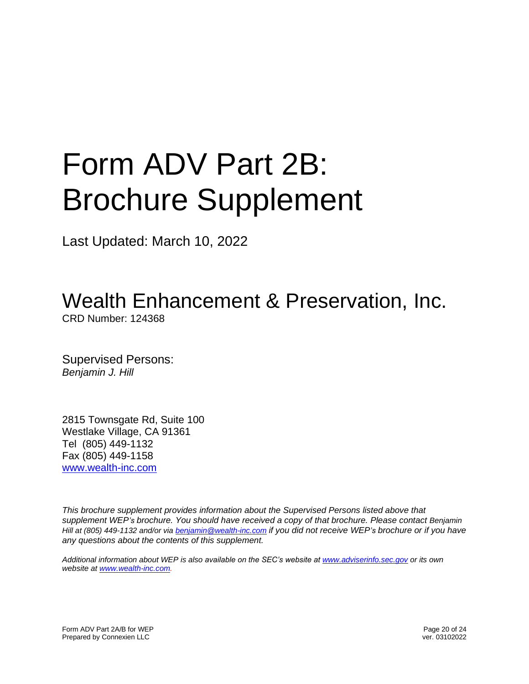# Form ADV Part 2B: Brochure Supplement

Last Updated: March 10, 2022

Wealth Enhancement & Preservation, Inc.

CRD Number: 124368

Supervised Persons: *Benjamin J. Hill*

2815 Townsgate Rd, Suite 100 Westlake Village, CA 91361 Tel (805) 449-1132 Fax (805) 449-1158 [www.wealth-inc.com](http://www.wealth-inc.com/)

*This brochure supplement provides information about the Supervised Persons listed above that supplement WEP's brochure. You should have received a copy of that brochure. Please contact Benjamin Hill at (805) 449-1132 and/or via [benjamin@wealth-inc.com](mailto:benjamin@wealth-inc.com) if you did not receive WEP's brochure or if you have any questions about the contents of this supplement.* 

*Additional information about WEP is also available on the SEC's website at [www.adviserinfo.sec.gov](http://www.adviserinfo.sec.gov/) or its own website at [www.wealth-inc.com.](http://www.wealth-inc.com/)*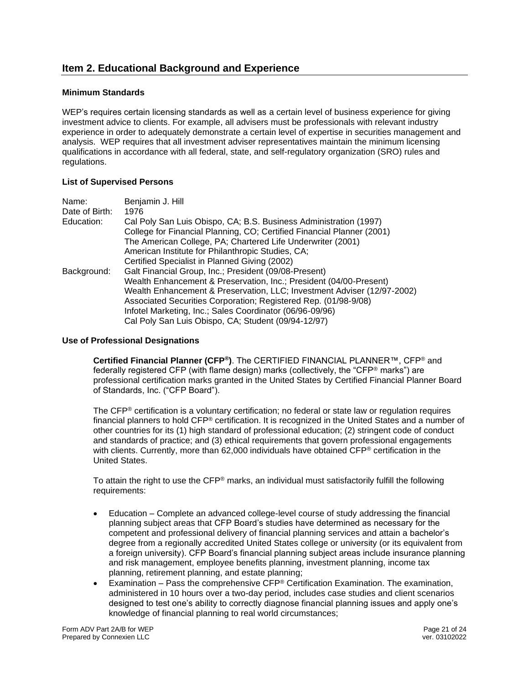# **Item 2. Educational Background and Experience**

#### **Minimum Standards**

WEP's requires certain licensing standards as well as a certain level of business experience for giving investment advice to clients. For example, all advisers must be professionals with relevant industry experience in order to adequately demonstrate a certain level of expertise in securities management and analysis. WEP requires that all investment adviser representatives maintain the minimum licensing qualifications in accordance with all federal, state, and self-regulatory organization (SRO) rules and regulations.

#### **List of Supervised Persons**

| Name:          | Benjamin J. Hill                                                        |
|----------------|-------------------------------------------------------------------------|
| Date of Birth: | 1976                                                                    |
| Education:     | Cal Poly San Luis Obispo, CA; B.S. Business Administration (1997)       |
|                | College for Financial Planning, CO; Certified Financial Planner (2001)  |
|                | The American College, PA; Chartered Life Underwriter (2001)             |
|                | American Institute for Philanthropic Studies, CA;                       |
|                | Certified Specialist in Planned Giving (2002)                           |
| Background:    | Galt Financial Group, Inc.; President (09/08-Present)                   |
|                | Wealth Enhancement & Preservation, Inc.; President (04/00-Present)      |
|                | Wealth Enhancement & Preservation, LLC; Investment Adviser (12/97-2002) |
|                | Associated Securities Corporation; Registered Rep. (01/98-9/08)         |
|                | Infotel Marketing, Inc.; Sales Coordinator (06/96-09/96)                |
|                | Cal Poly San Luis Obispo, CA; Student (09/94-12/97)                     |

#### **Use of Professional Designations**

**Certified Financial Planner (CFP®)**. The CERTIFIED FINANCIAL PLANNER™, CFP® and federally registered CFP (with flame design) marks (collectively, the "CFP® marks") are professional certification marks granted in the United States by Certified Financial Planner Board of Standards, Inc. ("CFP Board").

The CFP® certification is a voluntary certification; no federal or state law or regulation requires financial planners to hold CFP® certification. It is recognized in the United States and a number of other countries for its (1) high standard of professional education; (2) stringent code of conduct and standards of practice; and (3) ethical requirements that govern professional engagements with clients. Currently, more than 62,000 individuals have obtained CFP® certification in the United States.

To attain the right to use the CFP® marks, an individual must satisfactorily fulfill the following requirements:

- Education Complete an advanced college-level course of study addressing the financial planning subject areas that CFP Board's studies have determined as necessary for the competent and professional delivery of financial planning services and attain a bachelor's degree from a regionally accredited United States college or university (or its equivalent from a foreign university). CFP Board's financial planning subject areas include insurance planning and risk management, employee benefits planning, investment planning, income tax planning, retirement planning, and estate planning;
- Examination Pass the comprehensive  $CFP^{\circledast}$  Certification Examination. The examination, administered in 10 hours over a two-day period, includes case studies and client scenarios designed to test one's ability to correctly diagnose financial planning issues and apply one's knowledge of financial planning to real world circumstances;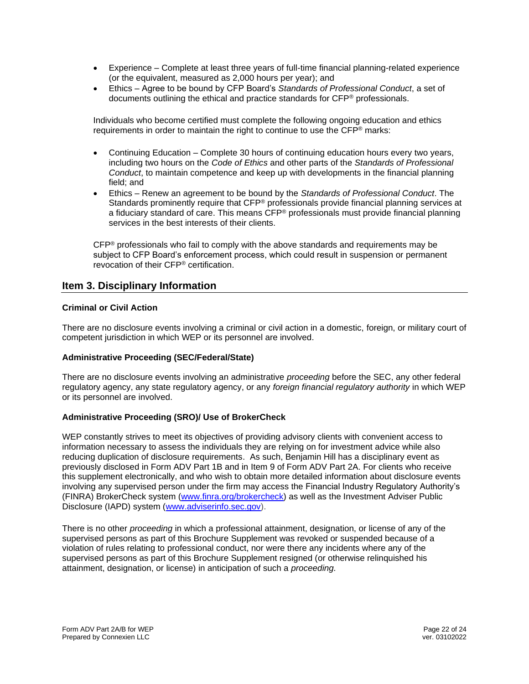- Experience Complete at least three years of full-time financial planning-related experience (or the equivalent, measured as 2,000 hours per year); and
- Ethics Agree to be bound by CFP Board's *Standards of Professional Conduct*, a set of documents outlining the ethical and practice standards for CFP® professionals.

Individuals who become certified must complete the following ongoing education and ethics requirements in order to maintain the right to continue to use the  $\text{CFP}^{\otimes}$  marks:

- Continuing Education Complete 30 hours of continuing education hours every two years, including two hours on the *Code of Ethics* and other parts of the *Standards of Professional Conduct*, to maintain competence and keep up with developments in the financial planning field; and
- Ethics Renew an agreement to be bound by the *Standards of Professional Conduct*. The Standards prominently require that CFP® professionals provide financial planning services at a fiduciary standard of care. This means  $CFP<sup>®</sup>$  professionals must provide financial planning services in the best interests of their clients.

CFP® professionals who fail to comply with the above standards and requirements may be subject to CFP Board's enforcement process, which could result in suspension or permanent revocation of their CFP® certification.

## **Item 3. Disciplinary Information**

#### **Criminal or Civil Action**

There are no disclosure events involving a criminal or civil action in a domestic, foreign, or military court of competent jurisdiction in which WEP or its personnel are involved.

#### **Administrative Proceeding (SEC/Federal/State)**

There are no disclosure events involving an administrative *proceeding* before the SEC, any other federal regulatory agency, any state regulatory agency, or any *foreign financial regulatory authority* in which WEP or its personnel are involved.

#### **Administrative Proceeding (SRO)/ Use of BrokerCheck**

WEP constantly strives to meet its objectives of providing advisory clients with convenient access to information necessary to assess the individuals they are relying on for investment advice while also reducing duplication of disclosure requirements. As such, Benjamin Hill has a disciplinary event as previously disclosed in Form ADV Part 1B and in Item 9 of Form ADV Part 2A. For clients who receive this supplement electronically, and who wish to obtain more detailed information about disclosure events involving any supervised person under the firm may access the Financial Industry Regulatory Authority's (FINRA) BrokerCheck system [\(www.finra.org/brokercheck\)](http://www.finra.org/brokercheck) as well as the Investment Adviser Public Disclosure (IAPD) system [\(www.adviserinfo.sec.gov\)](http://www.adviserinfo.sec.gov/).

There is no other *proceeding* in which a professional attainment, designation, or license of any of the supervised persons as part of this Brochure Supplement was revoked or suspended because of a violation of rules relating to professional conduct, nor were there any incidents where any of the supervised persons as part of this Brochure Supplement resigned (or otherwise relinquished his attainment, designation, or license) in anticipation of such a *proceeding.*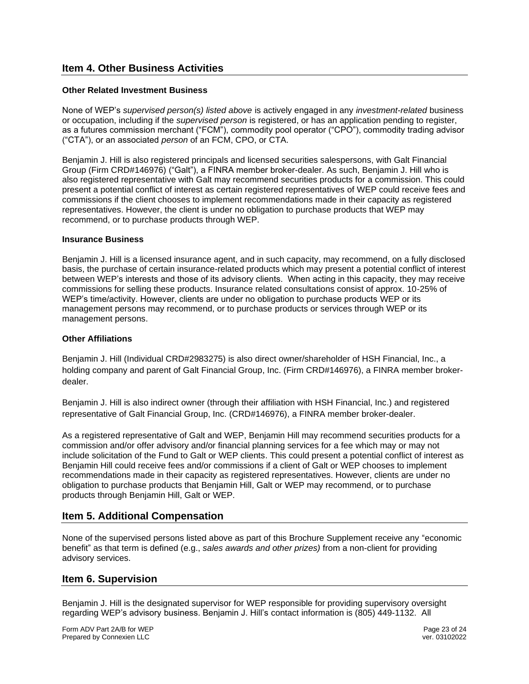# **Item 4. Other Business Activities**

#### **Other Related Investment Business**

None of WEP's *supervised person(s) listed above* is actively engaged in any *investment-related* business or occupation, including if the *supervised person* is registered, or has an application pending to register, as a futures commission merchant ("FCM"), commodity pool operator ("CPO"), commodity trading advisor ("CTA"), or an associated *person* of an FCM, CPO, or CTA.

Benjamin J. Hill is also registered principals and licensed securities salespersons, with Galt Financial Group (Firm CRD#146976) ("Galt"), a FINRA member broker-dealer. As such, Benjamin J. Hill who is also registered representative with Galt may recommend securities products for a commission. This could present a potential conflict of interest as certain registered representatives of WEP could receive fees and commissions if the client chooses to implement recommendations made in their capacity as registered representatives. However, the client is under no obligation to purchase products that WEP may recommend, or to purchase products through WEP.

#### **Insurance Business**

Benjamin J. Hill is a licensed insurance agent, and in such capacity, may recommend, on a fully disclosed basis, the purchase of certain insurance-related products which may present a potential conflict of interest between WEP's interests and those of its advisory clients. When acting in this capacity, they may receive commissions for selling these products. Insurance related consultations consist of approx. 10-25% of WEP's time/activity. However, clients are under no obligation to purchase products WEP or its management persons may recommend, or to purchase products or services through WEP or its management persons.

#### **Other Affiliations**

Benjamin J. Hill (Individual CRD#2983275) is also direct owner/shareholder of HSH Financial, Inc., a holding company and parent of Galt Financial Group, Inc. (Firm CRD#146976), a FINRA member brokerdealer.

Benjamin J. Hill is also indirect owner (through their affiliation with HSH Financial, Inc.) and registered representative of Galt Financial Group, Inc. (CRD#146976), a FINRA member broker-dealer.

As a registered representative of Galt and WEP, Benjamin Hill may recommend securities products for a commission and/or offer advisory and/or financial planning services for a fee which may or may not include solicitation of the Fund to Galt or WEP clients. This could present a potential conflict of interest as Benjamin Hill could receive fees and/or commissions if a client of Galt or WEP chooses to implement recommendations made in their capacity as registered representatives. However, clients are under no obligation to purchase products that Benjamin Hill, Galt or WEP may recommend, or to purchase products through Benjamin Hill, Galt or WEP.

# **Item 5. Additional Compensation**

None of the supervised persons listed above as part of this Brochure Supplement receive any "economic benefit" as that term is defined (e.g., *sales awards and other prizes)* from a non-client for providing advisory services.

# **Item 6. Supervision**

Benjamin J. Hill is the designated supervisor for WEP responsible for providing supervisory oversight regarding WEP's advisory business. Benjamin J. Hill's contact information is (805) 449-1132. All